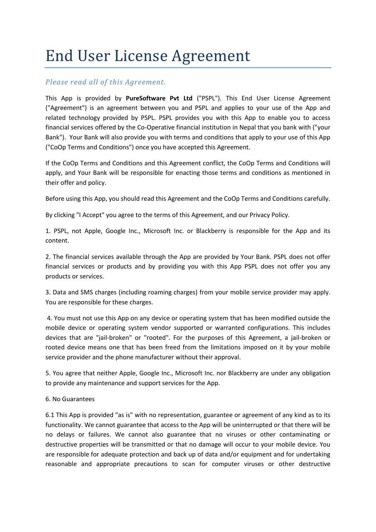# End User License Agreement

## *Please read all of this Agreement.*

This App is provided by **PureSoftware Pvt Ltd** ("PSPL"). This End User License Agreement ("Agreement") is an agreement between you and PSPL and applies to your use of the App and related technology provided by PSPL. PSPL provides you with this App to enable you to access financial services offered by the Co-Operative financial institution in Nepal that you bank with ("your Bank"). Your Bank will also provide you with terms and conditions that apply to your use of this App ("CoOp Terms and Conditions") once you have accepted this Agreement.

If the CoOp Terms and Conditions and this Agreement conflict, the CoOp Terms and Conditions will apply, and Your Bank will be responsible for enacting those terms and conditions as mentioned in their offer and policy.

Before using this App, you should read this Agreement and the CoOp Terms and Conditions carefully.

By clicking "I Accept" you agree to the terms of this Agreement, and our Privacy Policy.

1. PSPL, not Apple, Google Inc., Microsoft Inc. or Blackberry is responsible for the App and its content.

2. The financial services available through the App are provided by Your Bank. PSPL does not offer financial services or products and by providing you with this App PSPL does not offer you any products or services.

3. Data and SMS charges (including roaming charges) from your mobile service provider may apply. You are responsible for these charges.

4. You must not use this App on any device or operating system that has been modified outside the mobile device or operating system vendor supported or warranted configurations. This includes devices that are "jail-broken" or "rooted". For the purposes of this Agreement, a jail-broken or rooted device means one that has been freed from the limitations imposed on it by your mobile service provider and the phone manufacturer without their approval.

5. You agree that neither Apple, Google Inc., Microsoft Inc. nor Blackberry are under any obligation to provide any maintenance and support services for the App.

### 6. No Guarantees

6.1 This App is provided "as is" with no representation, guarantee or agreement of any kind as to its functionality. We cannot guarantee that access to the App will be uninterrupted or that there will be no delays or failures. We cannot also guarantee that no viruses or other contaminating or destructive properties will be transmitted or that no damage will occur to your mobile device. You are responsible for adequate protection and back up of data and/or equipment and for undertaking reasonable and appropriate precautions to scan for computer viruses or other destructive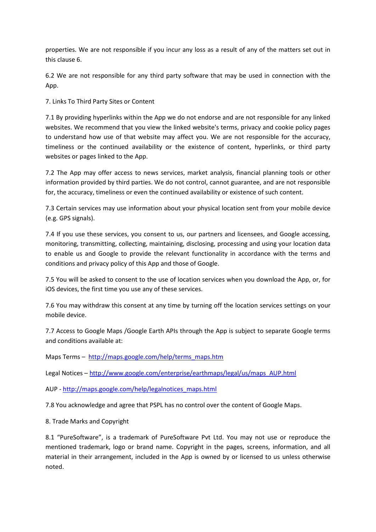properties. We are not responsible if you incur any loss as a result of any of the matters set out in this clause 6.

6.2 We are not responsible for any third party software that may be used in connection with the App.

7. Links To Third Party Sites or Content

7.1 By providing hyperlinks within the App we do not endorse and are not responsible for any linked websites. We recommend that you view the linked website's terms, privacy and cookie policy pages to understand how use of that website may affect you. We are not responsible for the accuracy, timeliness or the continued availability or the existence of content, hyperlinks, or third party websites or pages linked to the App.

7.2 The App may offer access to news services, market analysis, financial planning tools or other information provided by third parties. We do not control, cannot guarantee, and are not responsible for, the accuracy, timeliness or even the continued availability or existence of such content.

7.3 Certain services may use information about your physical location sent from your mobile device (e.g. GPS signals).

7.4 If you use these services, you consent to us, our partners and licensees, and Google accessing, monitoring, transmitting, collecting, maintaining, disclosing, processing and using your location data to enable us and Google to provide the relevant functionality in accordance with the terms and conditions and privacy policy of this App and those of Google.

7.5 You will be asked to consent to the use of location services when you download the App, or, for iOS devices, the first time you use any of these services.

7.6 You may withdraw this consent at any time by turning off the location services settings on your mobile device.

7.7 Access to Google Maps /Google Earth APIs through the App is subject to separate Google terms and conditions available at:

Maps Terms – [http://maps.google.com/help/terms\\_maps.htm](http://maps.google.com/help/terms_maps.htm)

Legal Notices – [http://www.google.com/enterprise/earthmaps/legal/us/maps\\_AUP.html](http://www.google.com/enterprise/earthmaps/legal/us/maps_AUP.html)

AUP - [http://maps.google.com/help/legalnotices\\_maps.html](http://maps.google.com/help/legalnotices_maps.html)

7.8 You acknowledge and agree that PSPL has no control over the content of Google Maps.

8. Trade Marks and Copyright

8.1 "PureSoftware", is a trademark of PureSoftware Pvt Ltd. You may not use or reproduce the mentioned trademark, logo or brand name. Copyright in the pages, screens, information, and all material in their arrangement, included in the App is owned by or licensed to us unless otherwise noted.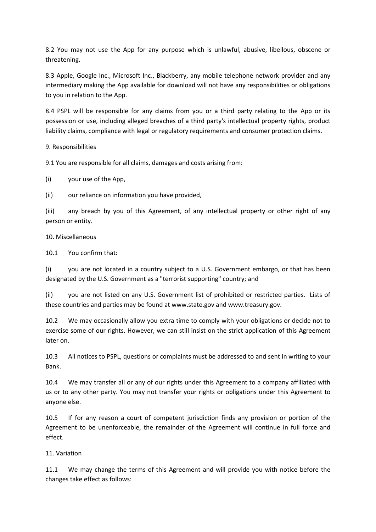8.2 You may not use the App for any purpose which is unlawful, abusive, libellous, obscene or threatening.

8.3 Apple, Google Inc., Microsoft Inc., Blackberry, any mobile telephone network provider and any intermediary making the App available for download will not have any responsibilities or obligations to you in relation to the App.

8.4 PSPL will be responsible for any claims from you or a third party relating to the App or its possession or use, including alleged breaches of a third party's intellectual property rights, product liability claims, compliance with legal or regulatory requirements and consumer protection claims.

9. Responsibilities

9.1 You are responsible for all claims, damages and costs arising from:

(i) your use of the App,

(ii) our reliance on information you have provided,

(iii) any breach by you of this Agreement, of any intellectual property or other right of any person or entity.

10. Miscellaneous

10.1 You confirm that:

(i) you are not located in a country subject to a U.S. Government embargo, or that has been designated by the U.S. Government as a "terrorist supporting" country; and

(ii) you are not listed on any U.S. Government list of prohibited or restricted parties. Lists of these countries and parties may be found at www.state.gov and www.treasury.gov.

10.2 We may occasionally allow you extra time to comply with your obligations or decide not to exercise some of our rights. However, we can still insist on the strict application of this Agreement later on.

10.3 All notices to PSPL, questions or complaints must be addressed to and sent in writing to your Bank.

10.4 We may transfer all or any of our rights under this Agreement to a company affiliated with us or to any other party. You may not transfer your rights or obligations under this Agreement to anyone else.

10.5 If for any reason a court of competent jurisdiction finds any provision or portion of the Agreement to be unenforceable, the remainder of the Agreement will continue in full force and effect.

### 11. Variation

11.1 We may change the terms of this Agreement and will provide you with notice before the changes take effect as follows: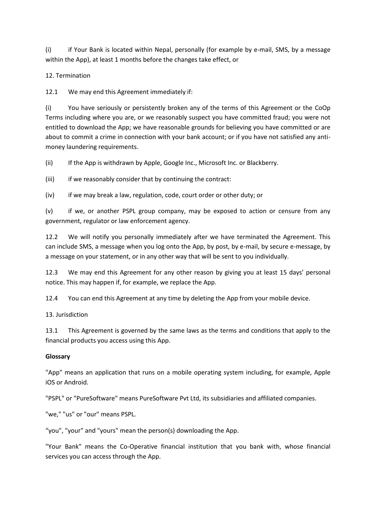(i) if Your Bank is located within Nepal, personally (for example by e-mail, SMS, by a message within the App), at least 1 months before the changes take effect, or

12. Termination

12.1 We may end this Agreement immediately if:

(i) You have seriously or persistently broken any of the terms of this Agreement or the CoOp Terms including where you are, or we reasonably suspect you have committed fraud; you were not entitled to download the App; we have reasonable grounds for believing you have committed or are about to commit a crime in connection with your bank account; or if you have not satisfied any antimoney laundering requirements.

(ii) If the App is withdrawn by Apple, Google Inc., Microsoft Inc. or Blackberry.

(iii) if we reasonably consider that by continuing the contract:

(iv) if we may break a law, regulation, code, court order or other duty; or

(v) if we, or another PSPL group company, may be exposed to action or censure from any government, regulator or law enforcement agency.

12.2 We will notify you personally immediately after we have terminated the Agreement. This can include SMS, a message when you log onto the App, by post, by e-mail, by secure e-message, by a message on your statement, or in any other way that will be sent to you individually.

12.3 We may end this Agreement for any other reason by giving you at least 15 days' personal notice. This may happen if, for example, we replace the App.

12.4 You can end this Agreement at any time by deleting the App from your mobile device.

13. Jurisdiction

13.1 This Agreement is governed by the same laws as the terms and conditions that apply to the financial products you access using this App.

### **Glossary**

"App" means an application that runs on a mobile operating system including, for example, Apple iOS or Android.

"PSPL" or "PureSoftware" means PureSoftware Pvt Ltd, its subsidiaries and affiliated companies.

"we," "us" or "our" means PSPL.

"you", "your" and "yours" mean the person(s) downloading the App.

"Your Bank" means the Co-Operative financial institution that you bank with, whose financial services you can access through the App.